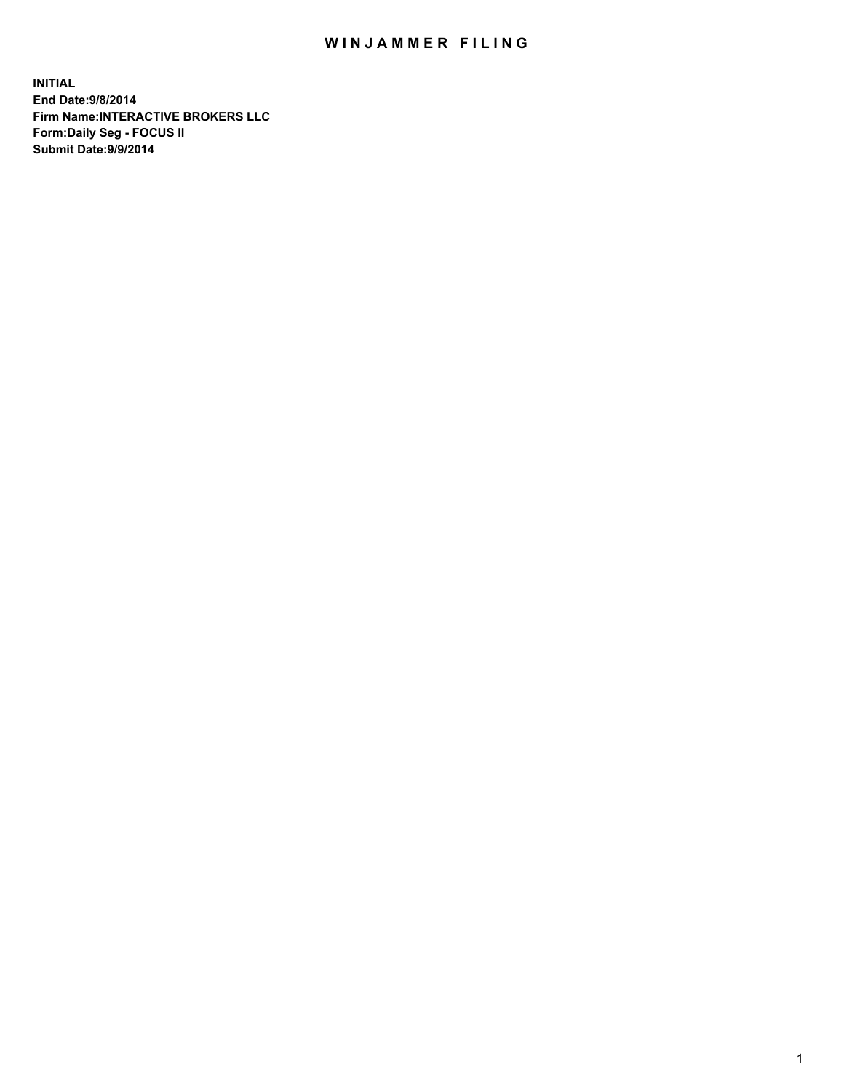## WIN JAMMER FILING

**INITIAL End Date:9/8/2014 Firm Name:INTERACTIVE BROKERS LLC Form:Daily Seg - FOCUS II Submit Date:9/9/2014**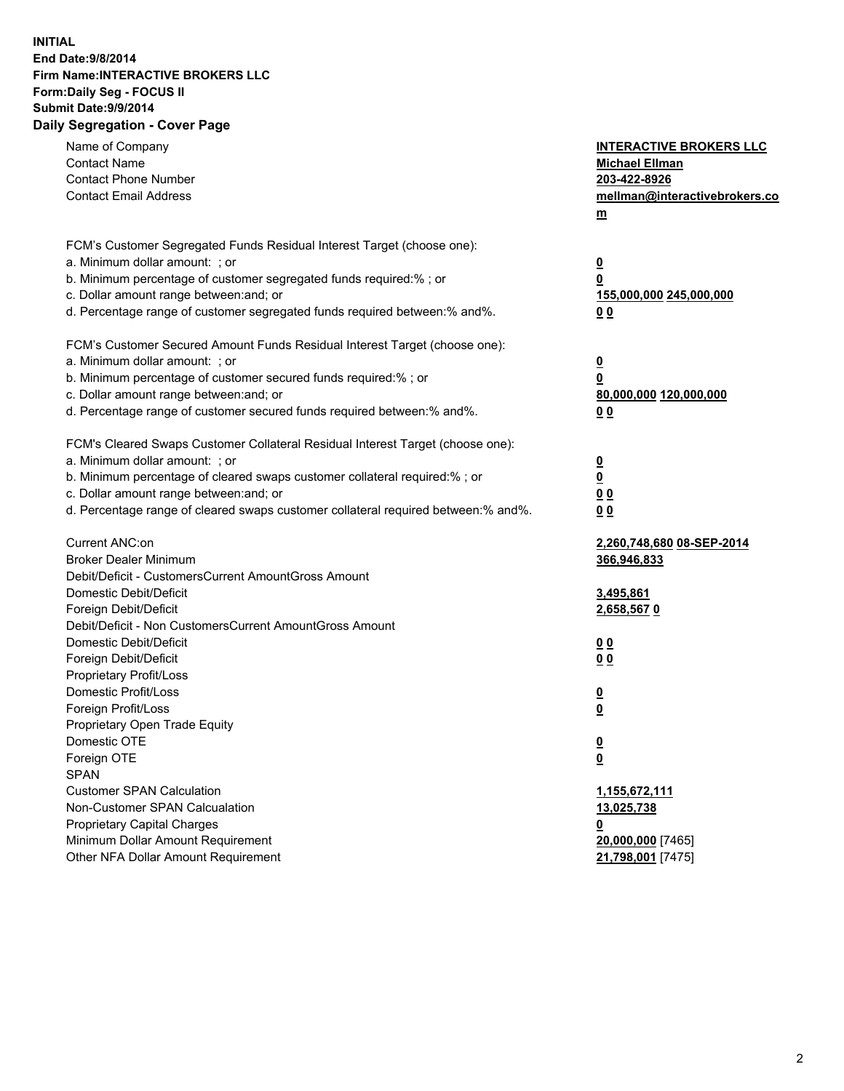## **INITIAL End Date:9/8/2014 Firm Name:INTERACTIVE BROKERS LLC Form:Daily Seg - FOCUS II Submit Date:9/9/2014 Daily Segregation - Cover Page**

| Name of Company<br><b>Contact Name</b><br><b>Contact Phone Number</b><br><b>Contact Email Address</b>    | <b>INTERACTIVE BROKERS LLC</b><br><b>Michael Ellman</b><br>203-422-8926<br>mellman@interactivebrokers.co<br>$\underline{\mathbf{m}}$ |
|----------------------------------------------------------------------------------------------------------|--------------------------------------------------------------------------------------------------------------------------------------|
| FCM's Customer Segregated Funds Residual Interest Target (choose one):<br>a. Minimum dollar amount: ; or |                                                                                                                                      |
| b. Minimum percentage of customer segregated funds required:% ; or                                       | $\overline{\mathbf{0}}$<br>0                                                                                                         |
| c. Dollar amount range between: and; or                                                                  | 155,000,000 245,000,000                                                                                                              |
| d. Percentage range of customer segregated funds required between:% and%.                                | 00                                                                                                                                   |
| FCM's Customer Secured Amount Funds Residual Interest Target (choose one):                               |                                                                                                                                      |
| a. Minimum dollar amount: ; or                                                                           | $\overline{\mathbf{0}}$                                                                                                              |
| b. Minimum percentage of customer secured funds required:% ; or                                          | 0                                                                                                                                    |
| c. Dollar amount range between: and; or                                                                  | 80,000,000 120,000,000                                                                                                               |
| d. Percentage range of customer secured funds required between:% and%.                                   | 00                                                                                                                                   |
| FCM's Cleared Swaps Customer Collateral Residual Interest Target (choose one):                           |                                                                                                                                      |
| a. Minimum dollar amount: ; or                                                                           | $\overline{\mathbf{0}}$                                                                                                              |
| b. Minimum percentage of cleared swaps customer collateral required:% ; or                               | $\underline{\mathbf{0}}$                                                                                                             |
| c. Dollar amount range between: and; or                                                                  | 0 <sub>0</sub>                                                                                                                       |
| d. Percentage range of cleared swaps customer collateral required between:% and%.                        | 0 <sub>0</sub>                                                                                                                       |
| Current ANC:on                                                                                           | 2,260,748,680 08-SEP-2014                                                                                                            |
| <b>Broker Dealer Minimum</b>                                                                             | 366,946,833                                                                                                                          |
| Debit/Deficit - CustomersCurrent AmountGross Amount                                                      |                                                                                                                                      |
| Domestic Debit/Deficit                                                                                   | 3,495,861                                                                                                                            |
| Foreign Debit/Deficit<br>Debit/Deficit - Non CustomersCurrent AmountGross Amount                         | 2,658,5670                                                                                                                           |
| Domestic Debit/Deficit                                                                                   | 0 <sub>0</sub>                                                                                                                       |
| Foreign Debit/Deficit                                                                                    | 0 <sub>0</sub>                                                                                                                       |
| Proprietary Profit/Loss                                                                                  |                                                                                                                                      |
| Domestic Profit/Loss                                                                                     | $\overline{\mathbf{0}}$                                                                                                              |
| Foreign Profit/Loss                                                                                      | $\underline{\mathbf{0}}$                                                                                                             |
| Proprietary Open Trade Equity                                                                            |                                                                                                                                      |
| Domestic OTE                                                                                             | <u>0</u>                                                                                                                             |
| Foreign OTE                                                                                              | <u>0</u>                                                                                                                             |
| <b>SPAN</b>                                                                                              |                                                                                                                                      |
| <b>Customer SPAN Calculation</b>                                                                         | 1,155,672,111                                                                                                                        |
| Non-Customer SPAN Calcualation                                                                           | 13,025,738                                                                                                                           |
| Proprietary Capital Charges                                                                              | <u>0</u>                                                                                                                             |
| Minimum Dollar Amount Requirement                                                                        | 20,000,000 [7465]                                                                                                                    |
| Other NFA Dollar Amount Requirement                                                                      | 21,798,001 [7475]                                                                                                                    |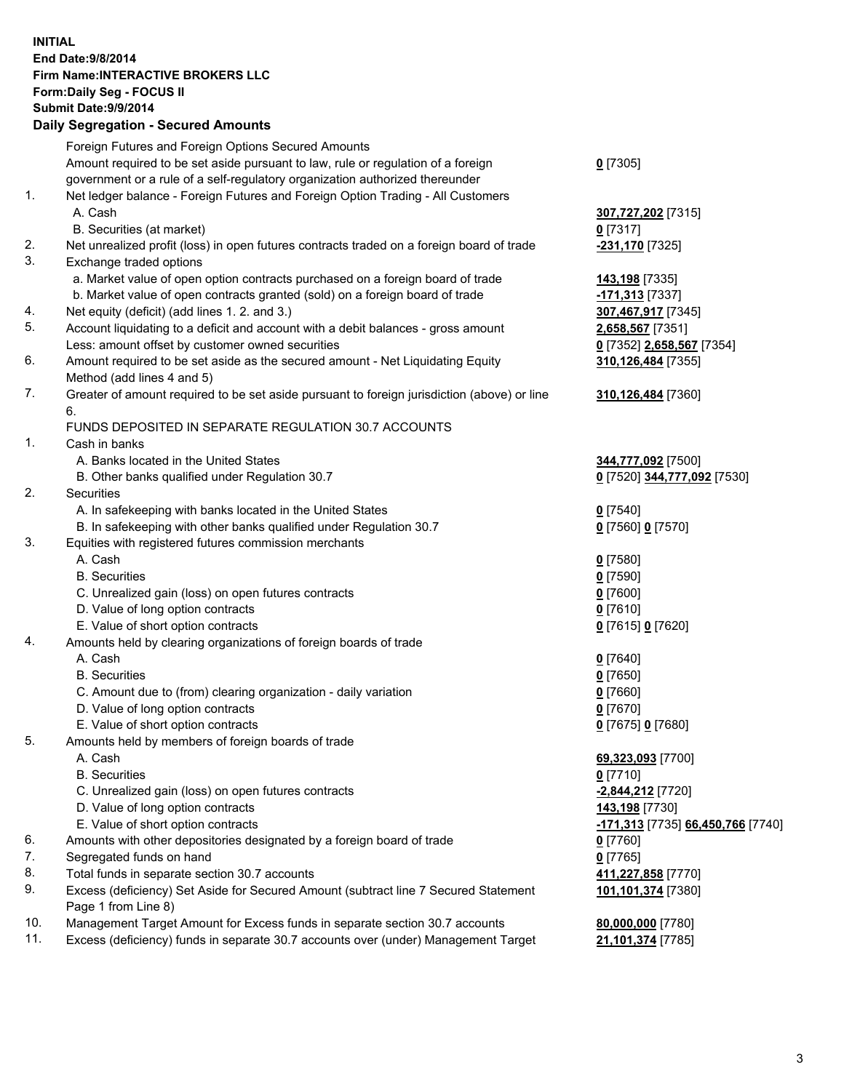## **INITIAL End Date:9/8/2014 Firm Name:INTERACTIVE BROKERS LLC Form:Daily Seg - FOCUS II Submit Date:9/9/2014 Daily Segregation - Secured Amounts**

|     | <u>, pany ovyrvyatron ovodrod Amodrite</u>                                                  |                                   |
|-----|---------------------------------------------------------------------------------------------|-----------------------------------|
|     | Foreign Futures and Foreign Options Secured Amounts                                         |                                   |
|     | Amount required to be set aside pursuant to law, rule or regulation of a foreign            | $0$ [7305]                        |
|     | government or a rule of a self-regulatory organization authorized thereunder                |                                   |
| 1.  | Net ledger balance - Foreign Futures and Foreign Option Trading - All Customers             |                                   |
|     | A. Cash                                                                                     | 307,727,202 [7315]                |
|     | B. Securities (at market)                                                                   | $0$ [7317]                        |
| 2.  | Net unrealized profit (loss) in open futures contracts traded on a foreign board of trade   | -231,170 [7325]                   |
| 3.  | Exchange traded options                                                                     |                                   |
|     | a. Market value of open option contracts purchased on a foreign board of trade              | 143,198 [7335]                    |
|     | b. Market value of open contracts granted (sold) on a foreign board of trade                | -171,313 [7337]                   |
| 4.  | Net equity (deficit) (add lines 1. 2. and 3.)                                               | 307,467,917 [7345]                |
| 5.  | Account liquidating to a deficit and account with a debit balances - gross amount           | 2,658,567 [7351]                  |
|     | Less: amount offset by customer owned securities                                            | 0 [7352] 2,658,567 [7354]         |
| 6.  | Amount required to be set aside as the secured amount - Net Liquidating Equity              | 310,126,484 [7355]                |
|     | Method (add lines 4 and 5)                                                                  |                                   |
| 7.  | Greater of amount required to be set aside pursuant to foreign jurisdiction (above) or line | 310,126,484 [7360]                |
|     | 6.                                                                                          |                                   |
|     | FUNDS DEPOSITED IN SEPARATE REGULATION 30.7 ACCOUNTS                                        |                                   |
| 1.  | Cash in banks                                                                               |                                   |
|     | A. Banks located in the United States                                                       | 344,777,092 [7500]                |
|     | B. Other banks qualified under Regulation 30.7                                              | 0 [7520] 344,777,092 [7530]       |
| 2.  | <b>Securities</b>                                                                           |                                   |
|     | A. In safekeeping with banks located in the United States                                   | $0$ [7540]                        |
|     | B. In safekeeping with other banks qualified under Regulation 30.7                          | 0 [7560] 0 [7570]                 |
| 3.  | Equities with registered futures commission merchants                                       |                                   |
|     | A. Cash                                                                                     | $0$ [7580]                        |
|     | <b>B.</b> Securities                                                                        | $0$ [7590]                        |
|     | C. Unrealized gain (loss) on open futures contracts                                         | $0$ [7600]                        |
|     | D. Value of long option contracts                                                           | $0$ [7610]                        |
|     | E. Value of short option contracts                                                          | 0 [7615] 0 [7620]                 |
| 4.  | Amounts held by clearing organizations of foreign boards of trade                           |                                   |
|     | A. Cash                                                                                     | $0$ [7640]                        |
|     | <b>B.</b> Securities                                                                        | $0$ [7650]                        |
|     | C. Amount due to (from) clearing organization - daily variation                             | $0$ [7660]                        |
|     | D. Value of long option contracts                                                           | $0$ [7670]                        |
|     | E. Value of short option contracts                                                          | 0 [7675] 0 [7680]                 |
| 5.  | Amounts held by members of foreign boards of trade                                          |                                   |
|     | A. Cash                                                                                     | 69,323,093 [7700]                 |
|     | <b>B.</b> Securities                                                                        | $0$ [7710]                        |
|     | C. Unrealized gain (loss) on open futures contracts                                         | -2,844,212 [7720]                 |
|     | D. Value of long option contracts                                                           | 143,198 [7730]                    |
|     | E. Value of short option contracts                                                          | -171,313 [7735] 66,450,766 [7740] |
| 6.  | Amounts with other depositories designated by a foreign board of trade                      | $0$ [7760]                        |
| 7.  | Segregated funds on hand                                                                    | $0$ [7765]                        |
| 8.  | Total funds in separate section 30.7 accounts                                               | 411,227,858 [7770]                |
| 9.  | Excess (deficiency) Set Aside for Secured Amount (subtract line 7 Secured Statement         | 101,101,374 [7380]                |
|     | Page 1 from Line 8)                                                                         |                                   |
| 10. | Management Target Amount for Excess funds in separate section 30.7 accounts                 | 80,000,000 [7780]                 |
| 11. | Excess (deficiency) funds in separate 30.7 accounts over (under) Management Target          | 21,101,374 [7785]                 |
|     |                                                                                             |                                   |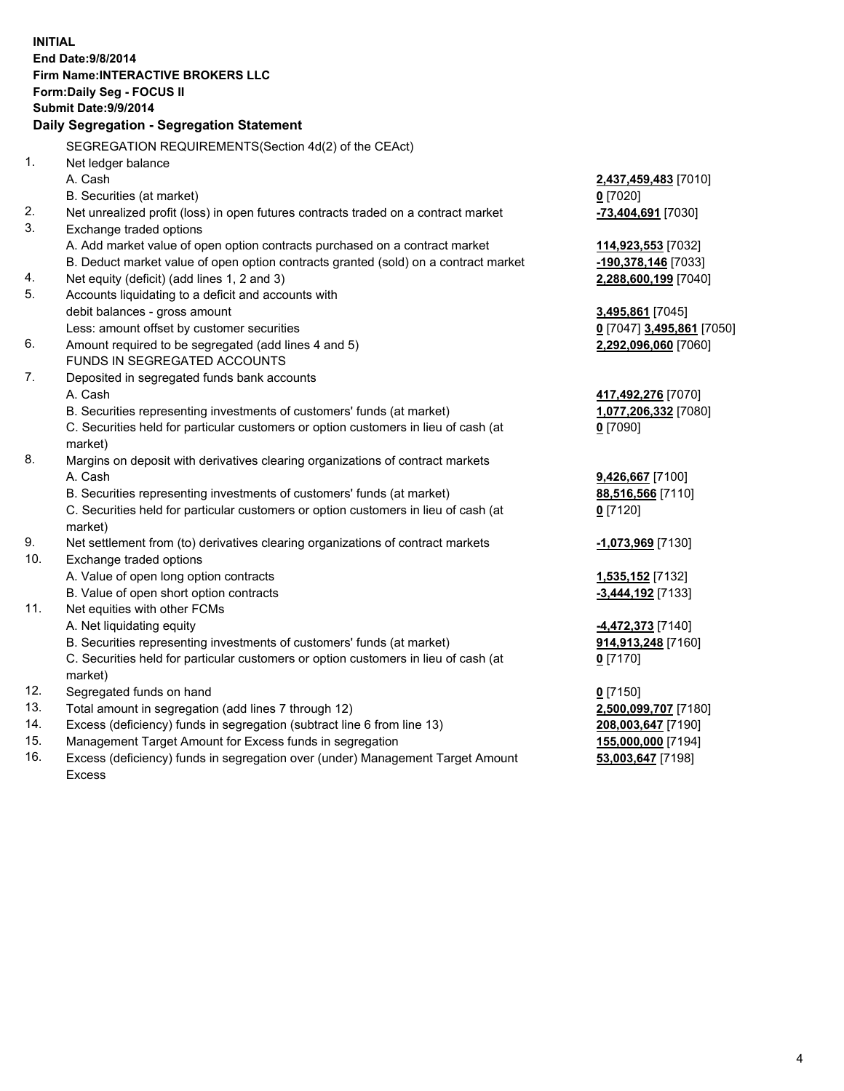**INITIAL End Date:9/8/2014 Firm Name:INTERACTIVE BROKERS LLC Form:Daily Seg - FOCUS II Submit Date:9/9/2014 Daily Segregation - Segregation Statement** SEGREGATION REQUIREMENTS(Section 4d(2) of the CEAct) 1. Net ledger balance A. Cash **2,437,459,483** [7010] B. Securities (at market) **0** [7020] 2. Net unrealized profit (loss) in open futures contracts traded on a contract market **-73,404,691** [7030] 3. Exchange traded options A. Add market value of open option contracts purchased on a contract market **114,923,553** [7032] B. Deduct market value of open option contracts granted (sold) on a contract market **-190,378,146** [7033] 4. Net equity (deficit) (add lines 1, 2 and 3) **2,288,600,199** [7040] 5. Accounts liquidating to a deficit and accounts with debit balances - gross amount **3,495,861** [7045] Less: amount offset by customer securities **0** [7047] **3,495,861** [7050] 6. Amount required to be segregated (add lines 4 and 5) **2,292,096,060** [7060] FUNDS IN SEGREGATED ACCOUNTS 7. Deposited in segregated funds bank accounts A. Cash **417,492,276** [7070] B. Securities representing investments of customers' funds (at market) **1,077,206,332** [7080] C. Securities held for particular customers or option customers in lieu of cash (at market) **0** [7090] 8. Margins on deposit with derivatives clearing organizations of contract markets A. Cash **9,426,667** [7100] B. Securities representing investments of customers' funds (at market) **88,516,566** [7110] C. Securities held for particular customers or option customers in lieu of cash (at market) **0** [7120] 9. Net settlement from (to) derivatives clearing organizations of contract markets **-1,073,969** [7130] 10. Exchange traded options A. Value of open long option contracts **1,535,152** [7132] B. Value of open short option contracts **-3,444,192** [7133] 11. Net equities with other FCMs A. Net liquidating equity **-4,472,373** [7140] B. Securities representing investments of customers' funds (at market) **914,913,248** [7160] C. Securities held for particular customers or option customers in lieu of cash (at market) **0** [7170] 12. Segregated funds on hand **0** [7150] 13. Total amount in segregation (add lines 7 through 12) **2,500,099,707** [7180] 14. Excess (deficiency) funds in segregation (subtract line 6 from line 13) **208,003,647** [7190] 15. Management Target Amount for Excess funds in segregation **155,000,000** [7194]

16. Excess (deficiency) funds in segregation over (under) Management Target Amount Excess

**53,003,647** [7198]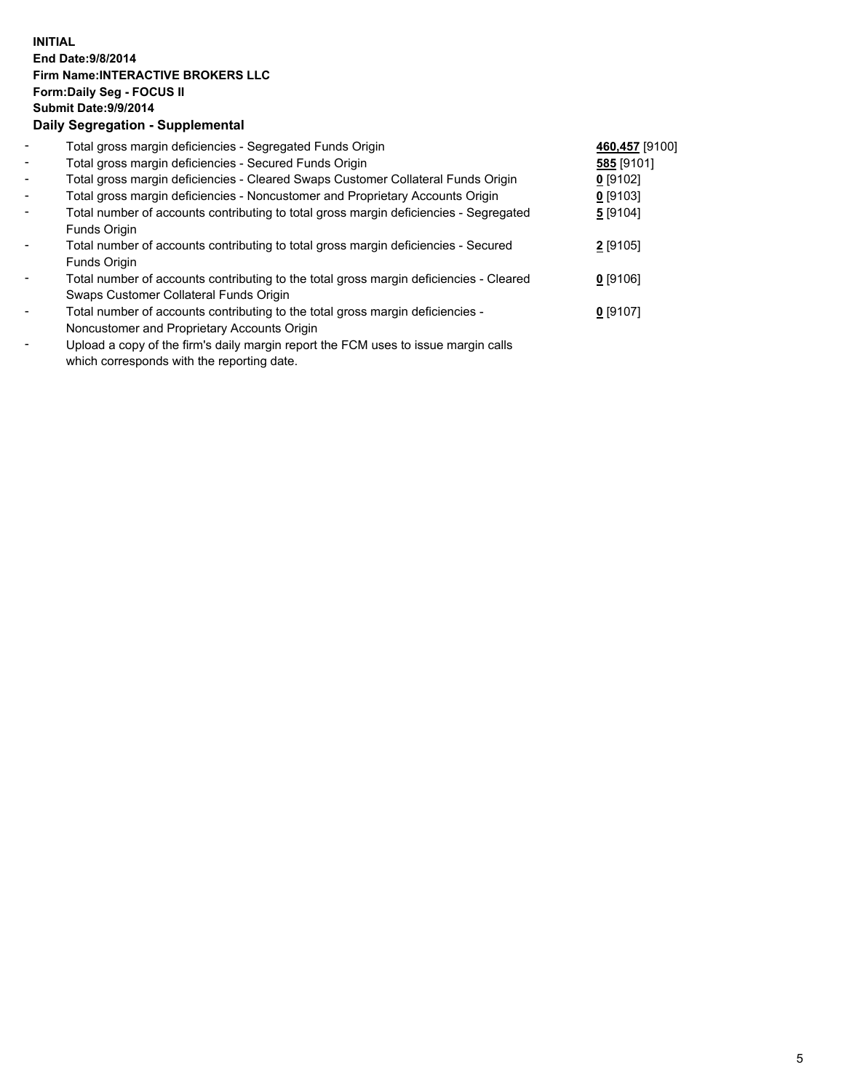## **INITIAL End Date:9/8/2014 Firm Name:INTERACTIVE BROKERS LLC Form:Daily Seg - FOCUS II Submit Date:9/9/2014 Daily Segregation - Supplemental**

| $\blacksquare$           | Total gross margin deficiencies - Segregated Funds Origin                                                                                                                                                                                         | 460,457 [9100] |  |
|--------------------------|---------------------------------------------------------------------------------------------------------------------------------------------------------------------------------------------------------------------------------------------------|----------------|--|
| $\blacksquare$           | Total gross margin deficiencies - Secured Funds Origin                                                                                                                                                                                            | 585 [9101]     |  |
| $\blacksquare$           | Total gross margin deficiencies - Cleared Swaps Customer Collateral Funds Origin                                                                                                                                                                  | $0$ [9102]     |  |
| $\blacksquare$           | Total gross margin deficiencies - Noncustomer and Proprietary Accounts Origin                                                                                                                                                                     | $0$ [9103]     |  |
| $\blacksquare$           | Total number of accounts contributing to total gross margin deficiencies - Segregated                                                                                                                                                             | 5[9104]        |  |
|                          | Funds Origin                                                                                                                                                                                                                                      |                |  |
| $\overline{\phantom{a}}$ | Total number of accounts contributing to total gross margin deficiencies - Secured                                                                                                                                                                | $2$ [9105]     |  |
|                          | Funds Origin                                                                                                                                                                                                                                      |                |  |
| $\overline{\phantom{a}}$ | Total number of accounts contributing to the total gross margin deficiencies - Cleared                                                                                                                                                            | $0$ [9106]     |  |
|                          | Swaps Customer Collateral Funds Origin                                                                                                                                                                                                            |                |  |
| $\overline{\phantom{a}}$ | Total number of accounts contributing to the total gross margin deficiencies -                                                                                                                                                                    | $0$ [9107]     |  |
|                          | Noncustomer and Proprietary Accounts Origin                                                                                                                                                                                                       |                |  |
|                          | The set of the $\mathcal{C}$ set of the set of the $\mathcal{C}$ and $\mathcal{C}$ and $\mathcal{C}$ is the set of the set of the set of the set of the set of the set of the set of the set of the set of the set of the set of the set of the s |                |  |

- Upload a copy of the firm's daily margin report the FCM uses to issue margin calls which corresponds with the reporting date.